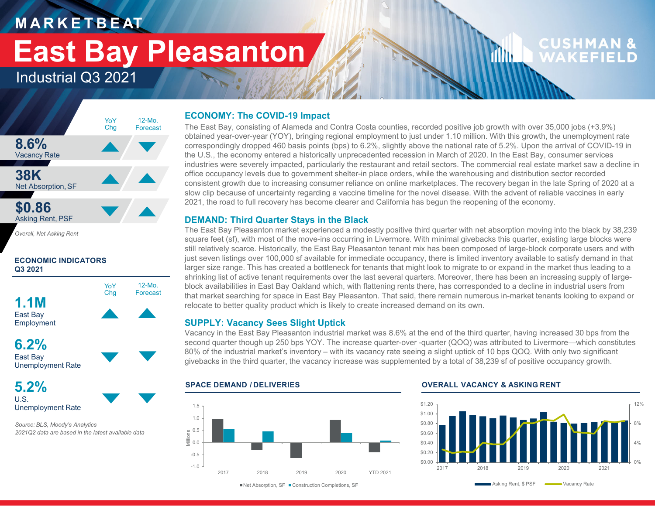### **M A R K E T B E AT**

## **East Bay Pleasanton**

### Industrial Q3 2021



*Overall, Net Asking Rent*

#### **ECONOMIC INDICATORS Q3 2021**



Unemployment Rate

**5.2%**U.S.Unemployment Rate

*Source: BLS, Moody's Analytics 2021Q2 data are based in the latest available data*

#### **ECONOMY: The COVID-19 Impact**

The East Bay, consisting of Alameda and Contra Costa counties, recorded positive job growth with over 35,000 jobs (+3.9%) obtained year-over-year (YOY), bringing regional employment to just under 1.10 million. With this growth, the unemployment rate correspondingly dropped 460 basis points (bps) to 6.2%, slightly above the national rate of 5.2%. Upon the arrival of COVID-19 in the U.S., the economy entered a historically unprecedented recession in March of 2020. In the East Bay, consumer services industries were severely impacted, particularly the restaurant and retail sectors. The commercial real estate market saw a decline in office occupancy levels due to government shelter-in place orders, while the warehousing and distribution sector recorded consistent growth due to increasing consumer reliance on online marketplaces. The recovery began in the late Spring of 2020 at a slow clip because of uncertainty regarding a vaccine timeline for the novel disease. With the advent of reliable vaccines in early 2021, the road to full recovery has become clearer and California has begun the reopening of the economy.

#### **DEMAND: Third Quarter Stays in the Black**

The East Bay Pleasanton market experienced a modestly positive third quarter with net absorption moving into the black by 38,239 square feet (sf), with most of the move-ins occurring in Livermore. With minimal givebacks this quarter, existing large blocks were still relatively scarce. Historically, the East Bay Pleasanton tenant mix has been composed of large-block corporate users and with just seven listings over 100,000 sf available for immediate occupancy, there is limited inventory available to satisfy demand in that larger size range. This has created a bottleneck for tenants that might look to migrate to or expand in the market thus leading to a shrinking list of active tenant requirements over the last several quarters. Moreover, there has been an increasing supply of largeblock availabilities in East Bay Oakland which, with flattening rents there, has corresponded to a decline in industrial users from that market searching for space in East Bay Pleasanton. That said, there remain numerous in-market tenants looking to expand or relocate to better quality product which is likely to create increased demand on its own.

#### **SUPPLY: Vacancy Sees Slight Uptick**

Vacancy in the East Bay Pleasanton industrial market was 8.6% at the end of the third quarter, having increased 30 bps from the second quarter though up 250 bps YOY. The increase quarter-over -quarter (QOQ) was attributed to Livermore—which constitutes 80% of the industrial market's inventory – with its vacancy rate seeing a slight uptick of 10 bps QOQ. With only two significant givebacks in the third quarter, the vacancy increase was supplemented by a total of 38,239 sf of positive occupancy growth.

-1.0-0.50.0 0.5 Millions 1.01.52017 2018 2019 2020 YTD 2021

#### **SPACE DEMAND / DELIVERIES OVERALL VACANCY & ASKING RENT**

illin.



**CUSHMAN &** 

WAKEFII

■Net Absorption, SF ■ Construction Completions, SF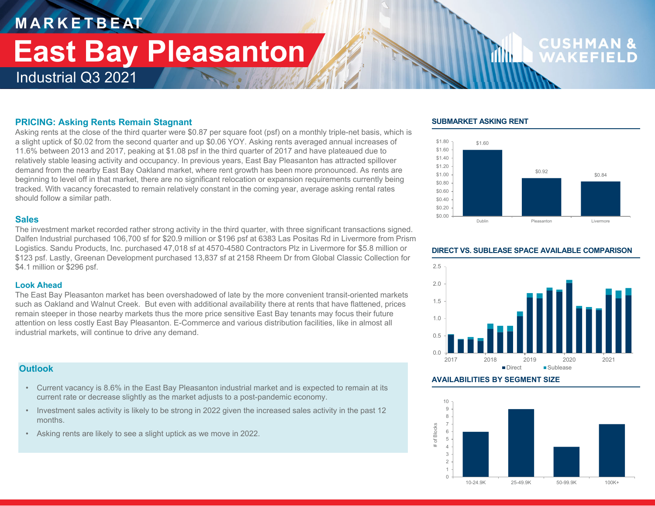## **M A R K E T B E AT** Industrial Q3 2021 **East Bay Pleasanton**

## CUSHMA

#### **PRICING: Asking Rents Remain Stagnant**

Asking rents at the close of the third quarter were \$0.87 per square foot (psf) on a monthly triple-net basis, which is a slight uptick of \$0.02 from the second quarter and up \$0.06 YOY. Asking rents averaged annual increases of 11.6% between 2013 and 2017, peaking at \$1.08 psf in the third quarter of 2017 and have plateaued due to relatively stable leasing activity and occupancy. In previous years, East Bay Pleasanton has attracted spillover demand from the nearby East Bay Oakland market, where rent growth has been more pronounced. As rents are beginning to level off in that market, there are no significant relocation or expansion requirements currently being tracked. With vacancy forecasted to remain relatively constant in the coming year, average asking rental rates should follow a similar path.

#### **Sales**

The investment market recorded rather strong activity in the third quarter, with three significant transactions signed. Dalfen Industrial purchased 106,700 sf for \$20.9 million or \$196 psf at 6383 Las Positas Rd in Livermore from Prism Logistics. Sandu Products, Inc. purchased 47,018 sf at 4570-4580 Contractors Plz in Livermore for \$5.8 million or \$123 psf. Lastly, Greenan Development purchased 13,837 sf at 2158 Rheem Dr from Global Classic Collection for \$4.1 million or \$296 psf.

#### **Look Ahead**

The East Bay Pleasanton market has been overshadowed of late by the more convenient transit-oriented markets such as Oakland and Walnut Creek. But even with additional availability there at rents that have flattened, prices remain steeper in those nearby markets thus the more price sensitive East Bay tenants may focus their future attention on less costly East Bay Pleasanton. E-Commerce and various distribution facilities, like in almost all industrial markets, will continue to drive any demand.

#### **Outlook**

- Current vacancy is 8.6% in the East Bay Pleasanton industrial market and is expected to remain at its current rate or decrease slightly as the market adjusts to a post-pandemic economy.
- Investment sales activity is likely to be strong in 2022 given the increased sales activity in the past 12 months.
- Asking rents are likely to see a slight uptick as we move in 2022.

#### **SUBMARKET ASKING RENT**

film.





#### **AVAILABILITIES BY SEGMENT SIZE**



#### **DIRECT VS. SUBLEASE SPACE AVAILABLE COMPARISON**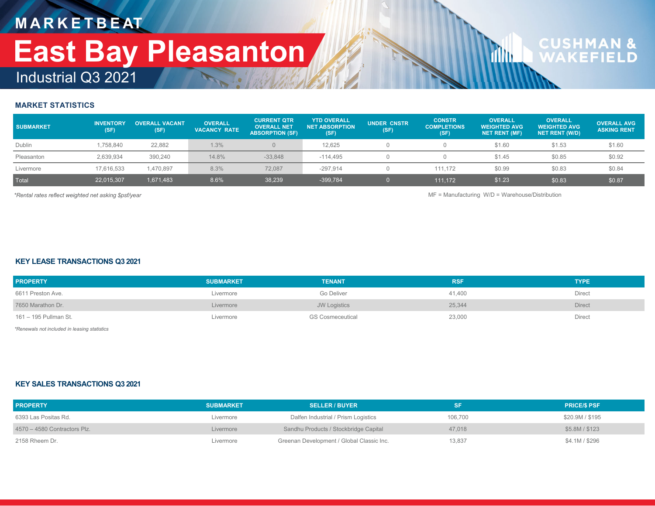### **M A R K E T B E AT** Industrial Q3 2021 **East Bay Pleasanton**

# **CUSHMAN &**<br>WAKFFIFLD

#### **MARKET STATISTICS**

| <b>SUBMARKET</b> | <b>INVENTORY</b><br>(SF) | <b>OVERALL VACANT</b><br>(SF) | <b>OVERALL</b><br><b>VACANCY RATE</b> | <b>CURRENT QTR</b><br><b>OVERALL NET</b><br><b>ABSORPTION (SF)</b> | <b>YTD OVERALL</b><br><b>NET ABSORPTION</b><br>(SF) | <b>UNDER CNSTR</b><br>(SF) | <b>CONSTR</b><br><b>COMPLETIONS</b><br>(SF) | <b>OVERALL</b><br><b>WEIGHTED AVG</b><br><b>NET RENT (MF)</b> | <b>OVERALL</b><br><b>WEIGHTED AVG</b><br><b>NET RENT (W/D)</b> | <b>OVERALL AVG</b><br><b>ASKING RENT</b> |
|------------------|--------------------------|-------------------------------|---------------------------------------|--------------------------------------------------------------------|-----------------------------------------------------|----------------------------|---------------------------------------------|---------------------------------------------------------------|----------------------------------------------------------------|------------------------------------------|
| Dublin           | 1.758.840                | 22,882                        | 1.3%                                  | $\Omega$                                                           | 12.625                                              |                            |                                             | \$1.60                                                        | \$1.53                                                         | \$1.60                                   |
| Pleasanton       | 2,639,934                | 390,240                       | 14.8%                                 | $-33,848$                                                          | $-114.495$                                          |                            |                                             | \$1.45                                                        | \$0.85                                                         | \$0.92                                   |
| Livermore        | 17,616,533               | 1,470,897                     | 8.3%                                  | 72.087                                                             | $-297.914$                                          |                            | 111.172                                     | \$0.99                                                        | \$0.83                                                         | \$0.84                                   |
| Total            | 22,015,307               | 1,671,483                     | 8.6%                                  | 38,239                                                             | -399,784                                            |                            | 111.172                                     | \$1.23                                                        | \$0.83                                                         | \$0.87                                   |

*\*Rental rates reflect weighted net asking \$psf/year* MF = Manufacturing W/D = Warehouse/Distribution

**d** 

#### **KEY LEASE TRANSACTIONS Q3 2021**

| <b>PROPERTY</b>       | <b>SUBMARKET</b> | <b>TENANT</b>       | <b>RSF</b> | <b>TYPE</b> |
|-----------------------|------------------|---------------------|------------|-------------|
| 6611 Preston Ave.     | Livermore        | Go Deliver          | 41.400     | Direct      |
| 7650 Marathon Dr.     | Livermore        | <b>JW Logistics</b> | 25,344     | Direct      |
| 161 – 195 Pullman St. | Livermore        | GS Cosmeceutical    | 23,000     | Direct      |

*\*Renewals not included in leasing statistics*

#### **KEY SALES TRANSACTIONS Q3 2021**

| <b>PROPERTY</b>                | <b>SUBMARKET</b> | <b>SELLER / BUYER</b>                     | <b>SF</b> | <b>PRICE/S PSF</b> |
|--------------------------------|------------------|-------------------------------------------|-----------|--------------------|
| 6393 Las Positas Rd.           | Livermore        | Dalfen Industrial / Prism Logistics       | 106,700   | \$20.9M / \$195    |
| $4570 - 4580$ Contractors Plz. | Livermore        | Sandhu Products / Stockbridge Capital     | 47,018    | \$5.8M / \$123     |
| 2158 Rheem Dr.                 | Livermore        | Greenan Development / Global Classic Inc. | 13.837    | \$4.1M / \$296     |